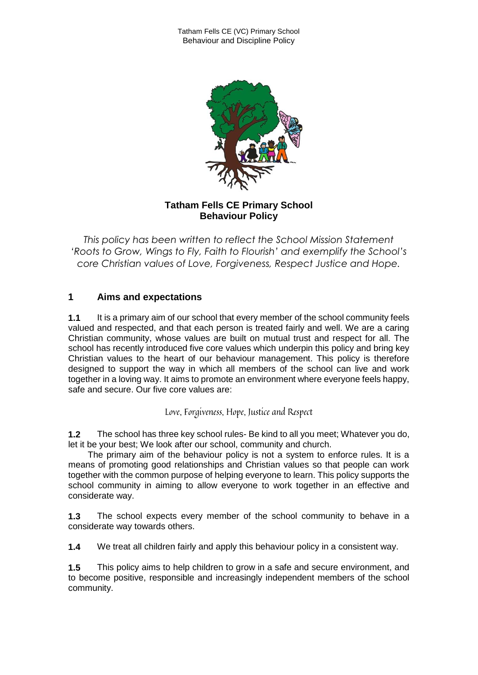

## **Tatham Fells CE Primary School Behaviour Policy**

*This policy has been written to reflect the School Mission Statement 'Roots to Grow, Wings to Fly, Faith to Flourish' and exemplify the School's core Christian values of Love, Forgiveness, Respect Justice and Hope.*

# **1 Aims and expectations**

**1.1** It is a primary aim of our school that every member of the school community feels valued and respected, and that each person is treated fairly and well. We are a caring Christian community, whose values are built on mutual trust and respect for all. The school has recently introduced five core values which underpin this policy and bring key Christian values to the heart of our behaviour management. This policy is therefore designed to support the way in which all members of the school can live and work together in a loving way. It aims to promote an environment where everyone feels happy, safe and secure. Our five core values are:

Love, Forgiveness, Hope, Justice and Respect

**1.2** The school has three key school rules- Be kind to all you meet; Whatever you do, let it be your best; We look after our school, community and church.

 The primary aim of the behaviour policy is not a system to enforce rules. It is a means of promoting good relationships and Christian values so that people can work together with the common purpose of helping everyone to learn. This policy supports the school community in aiming to allow everyone to work together in an effective and considerate way.

**1.3** The school expects every member of the school community to behave in a considerate way towards others.

**1.4** We treat all children fairly and apply this behaviour policy in a consistent way.

**1.5** This policy aims to help children to grow in a safe and secure environment, and to become positive, responsible and increasingly independent members of the school community.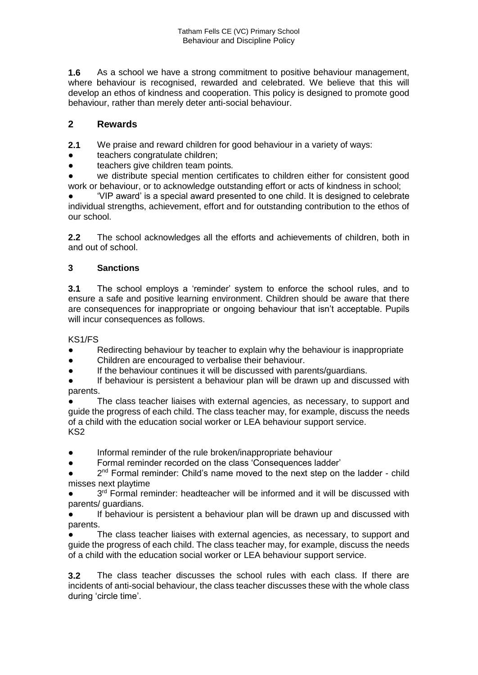**1.6** As a school we have a strong commitment to positive behaviour management, where behaviour is recognised, rewarded and celebrated. We believe that this will develop an ethos of kindness and cooperation. This policy is designed to promote good behaviour, rather than merely deter anti-social behaviour.

## **2 Rewards**

**2.1** We praise and reward children for good behaviour in a variety of ways:

- teachers congratulate children;
- teachers give children team points*.*

we distribute special mention certificates to children either for consistent good work or behaviour, or to acknowledge outstanding effort or acts of kindness in school;

'VIP award' is a special award presented to one child. It is designed to celebrate individual strengths, achievement, effort and for outstanding contribution to the ethos of our school.

**2.2** The school acknowledges all the efforts and achievements of children, both in and out of school.

### **3 Sanctions**

**3.1** The school employs a 'reminder' system to enforce the school rules, and to ensure a safe and positive learning environment. Children should be aware that there are consequences for inappropriate or ongoing behaviour that isn't acceptable. Pupils will incur consequences as follows.

KS1/FS

- Redirecting behaviour by teacher to explain why the behaviour is inappropriate
- Children are encouraged to verbalise their behaviour.
- If the behaviour continues it will be discussed with parents/guardians.
- If behaviour is persistent a behaviour plan will be drawn up and discussed with parents.

The class teacher liaises with external agencies, as necessary, to support and guide the progress of each child. The class teacher may, for example, discuss the needs of a child with the education social worker or LEA behaviour support service. KS2

- Informal reminder of the rule broken/inappropriate behaviour
- Formal reminder recorded on the class 'Consequences ladder'

• 2<sup>nd</sup> Formal reminder: Child's name moved to the next step on the ladder - child misses next playtime

• 3<sup>rd</sup> Formal reminder: headteacher will be informed and it will be discussed with parents/ guardians.

If behaviour is persistent a behaviour plan will be drawn up and discussed with parents.

The class teacher liaises with external agencies, as necessary, to support and guide the progress of each child. The class teacher may, for example, discuss the needs of a child with the education social worker or LEA behaviour support service.

**3.2** The class teacher discusses the school rules with each class. If there are incidents of anti-social behaviour, the class teacher discusses these with the whole class during 'circle time'.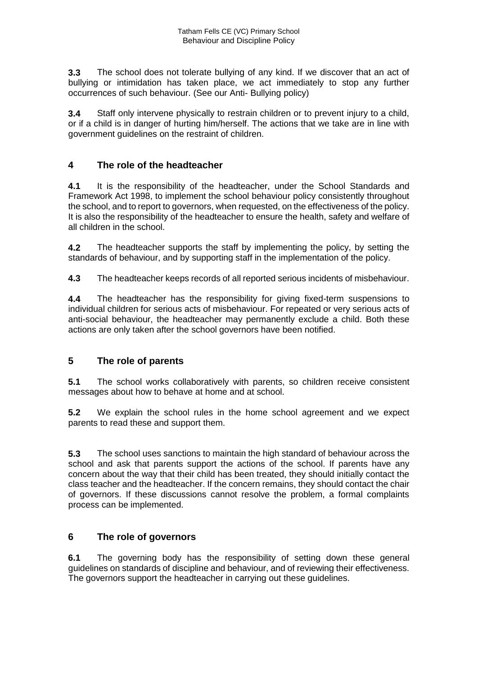**3.3** The school does not tolerate bullying of any kind. If we discover that an act of bullying or intimidation has taken place, we act immediately to stop any further occurrences of such behaviour. (See our Anti- Bullying policy)

**3.4** Staff only intervene physically to restrain children or to prevent injury to a child, or if a child is in danger of hurting him/herself. The actions that we take are in line with government guidelines on the restraint of children.

## **4 The role of the headteacher**

**4.1** It is the responsibility of the headteacher, under the School Standards and Framework Act 1998, to implement the school behaviour policy consistently throughout the school, and to report to governors, when requested, on the effectiveness of the policy. It is also the responsibility of the headteacher to ensure the health, safety and welfare of all children in the school.

**4.2** The headteacher supports the staff by implementing the policy, by setting the standards of behaviour, and by supporting staff in the implementation of the policy.

**4.3** The headteacher keeps records of all reported serious incidents of misbehaviour.

**4.4** The headteacher has the responsibility for giving fixed-term suspensions to individual children for serious acts of misbehaviour. For repeated or very serious acts of anti-social behaviour, the headteacher may permanently exclude a child. Both these actions are only taken after the school governors have been notified.

### **5 The role of parents**

**5.1** The school works collaboratively with parents, so children receive consistent messages about how to behave at home and at school.

**5.2** We explain the school rules in the home school agreement and we expect parents to read these and support them.

**5.3** The school uses sanctions to maintain the high standard of behaviour across the school and ask that parents support the actions of the school. If parents have any concern about the way that their child has been treated, they should initially contact the class teacher and the headteacher. If the concern remains, they should contact the chair of governors. If these discussions cannot resolve the problem, a formal complaints process can be implemented.

### **6 The role of governors**

**6.1** The governing body has the responsibility of setting down these general guidelines on standards of discipline and behaviour, and of reviewing their effectiveness. The governors support the headteacher in carrying out these guidelines.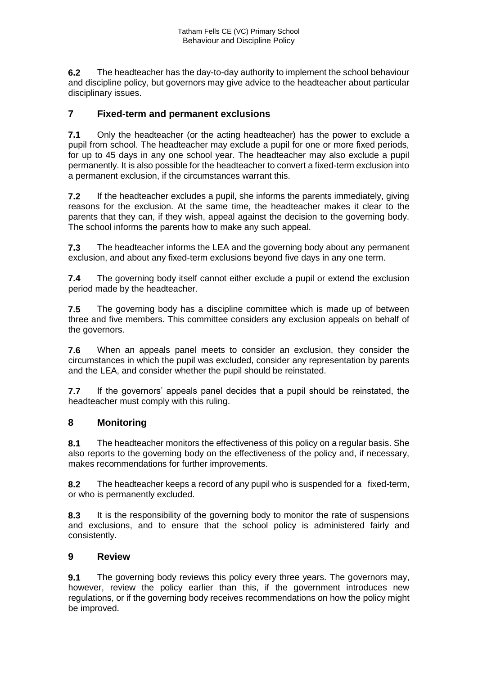**6.2** The headteacher has the day-to-day authority to implement the school behaviour and discipline policy, but governors may give advice to the headteacher about particular disciplinary issues.

## **7 Fixed-term and permanent exclusions**

**7.1** Only the headteacher (or the acting headteacher) has the power to exclude a pupil from school. The headteacher may exclude a pupil for one or more fixed periods, for up to 45 days in any one school year. The headteacher may also exclude a pupil permanently. It is also possible for the headteacher to convert a fixed-term exclusion into a permanent exclusion, if the circumstances warrant this.

**7.2** If the headteacher excludes a pupil, she informs the parents immediately, giving reasons for the exclusion. At the same time, the headteacher makes it clear to the parents that they can, if they wish, appeal against the decision to the governing body. The school informs the parents how to make any such appeal.

**7.3** The headteacher informs the LEA and the governing body about any permanent exclusion, and about any fixed-term exclusions beyond five days in any one term.

**7.4** The governing body itself cannot either exclude a pupil or extend the exclusion period made by the headteacher.

**7.5** The governing body has a discipline committee which is made up of between three and five members. This committee considers any exclusion appeals on behalf of the governors.

**7.6** When an appeals panel meets to consider an exclusion, they consider the circumstances in which the pupil was excluded, consider any representation by parents and the LEA, and consider whether the pupil should be reinstated.

**7.7** If the governors' appeals panel decides that a pupil should be reinstated, the headteacher must comply with this ruling.

### **8 Monitoring**

**8.1** The headteacher monitors the effectiveness of this policy on a regular basis. She also reports to the governing body on the effectiveness of the policy and, if necessary, makes recommendations for further improvements.

**8.2** The headteacher keeps a record of any pupil who is suspended for a fixed-term, or who is permanently excluded.

**8.3** It is the responsibility of the governing body to monitor the rate of suspensions and exclusions, and to ensure that the school policy is administered fairly and consistently.

#### **9 Review**

**9.1** The governing body reviews this policy every three years. The governors may, however, review the policy earlier than this, if the government introduces new regulations, or if the governing body receives recommendations on how the policy might be improved.